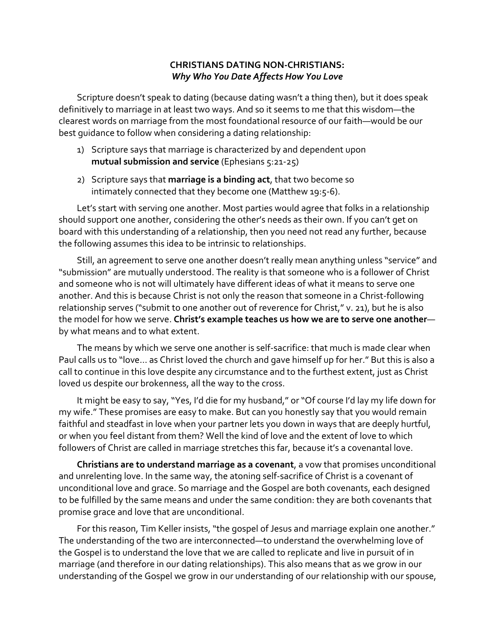## **CHRISTIANS DATING NON-CHRISTIANS: Why Who You Date Affects How You Love**

Scripture doesn't speak to dating (because dating wasn't a thing then), but it does speak definitively to marriage in at least two ways. And so it seems to me that this wisdom-the clearest words on marriage from the most foundational resource of our faith—would be our best quidance to follow when considering a dating relationship:

- 1) Scripture says that marriage is characterized by and dependent upon **mutual submission and service** (Ephesians 5:21-25)
- 2) Scripture says that **marriage is a binding act**, that two become so intimately connected that they become one (Matthew 19:5-6).

Let's start with serving one another. Most parties would agree that folks in a relationship should support one another, considering the other's needs as their own. If you can't get on board with this understanding of a relationship, then you need not read any further, because the following assumes this idea to be intrinsic to relationships.

Still, an agreement to serve one another doesn't really mean anything unless "service" and "submission" are mutually understood. The reality is that someone who is a follower of Christ and someone who is not will ultimately have different ideas of what it means to serve one another. And this is because Christ is not only the reason that someone in a Christ-following relationship serves ("submit to one another out of reverence for Christ," v. 21), but he is also the model for how we serve. Christ's example teaches us how we are to serve one anotherby what means and to what extent.

The means by which we serve one another is self-sacrifice: that much is made clear when Paul calls us to "love... as Christ loved the church and gave himself up for her." But this is also a call to continue in this love despite any circumstance and to the furthest extent, just as Christ loved us despite our brokenness, all the way to the cross.

It might be easy to say, "Yes, I'd die for my husband," or "Of course I'd lay my life down for my wife." These promises are easy to make. But can you honestly say that you would remain faithful and steadfast in love when your partner lets you down in ways that are deeply hurtful, or when you feel distant from them? Well the kind of love and the extent of love to which followers of Christ are called in marriage stretches this far, because it's a covenantal love.

**Christians are to understand marriage as a covenant**, a vow that promises unconditional and unrelenting love. In the same way, the atoning self-sacrifice of Christ is a covenant of unconditional love and grace. So marriage and the Gospel are both covenants, each designed to be fulfilled by the same means and under the same condition: they are both covenants that promise grace and love that are unconditional.

For this reason, Tim Keller insists, "the gospel of Jesus and marriage explain one another." The understanding of the two are interconnected—to understand the overwhelming love of the Gospel is to understand the love that we are called to replicate and live in pursuit of in marriage (and therefore in our dating relationships). This also means that as we grow in our understanding of the Gospel we grow in our understanding of our relationship with our spouse,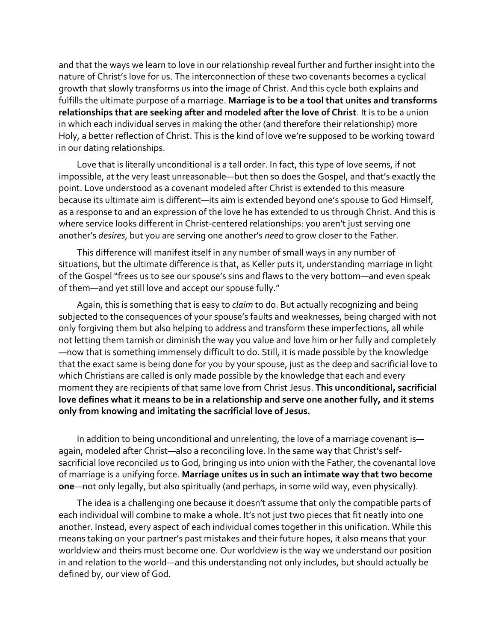and that the ways we learn to love in our relationship reveal further and further insight into the nature of Christ's love for us. The interconnection of these two covenants becomes a cyclical growth that slowly transforms us into the image of Christ. And this cycle both explains and fulfills the ultimate purpose of a marriage. Marriage is to be a tool that unites and transforms relationships that are seeking after and modeled after the love of Christ. It is to be a union in which each individual serves in making the other (and therefore their relationship) more Holy, a better reflection of Christ. This is the kind of love we're supposed to be working toward in our dating relationships.

Love that is literally unconditional is a tall order. In fact, this type of love seems, if not impossible, at the very least unreasonable—but then so does the Gospel, and that's exactly the point. Love understood as a covenant modeled after Christ is extended to this measure because its ultimate aim is different—its aim is extended beyond one's spouse to God Himself, as a response to and an expression of the love he has extended to us through Christ. And this is where service looks different in Christ-centered relationships: you aren't just serving one another's desires, but you are serving one another's need to grow closer to the Father.

This difference will manifest itself in any number of small ways in any number of situations, but the ultimate difference is that, as Keller puts it, understanding marriage in light of the Gospel "frees us to see our spouse's sins and flaws to the very bottom—and even speak of them-and yet still love and accept our spouse fully."

Again, this is something that is easy to *claim* to do. But actually recognizing and being subjected to the consequences of your spouse's faults and weaknesses, being charged with not only forgiving them but also helping to address and transform these imperfections, all while not letting them tarnish or diminish the way you value and love him or her fully and completely —now that is something immensely difficult to do. Still, it is made possible by the knowledge that the exact same is being done for you by your spouse, just as the deep and sacrificial love to which Christians are called is only made possible by the knowledge that each and every moment they are recipients of that same love from Christ Jesus. This unconditional, sacrificial love defines what it means to be in a relationship and serve one another fully, and it stems only from knowing and imitating the sacrificial love of Jesus.

In addition to being unconditional and unrelenting, the love of a marriage covenant isagain, modeled after Christ—also a reconciling love. In the same way that Christ's selfsacrificial love reconciled us to God, bringing us into union with the Father, the covenantal love of marriage is a unifying force. Marriage unites us in such an intimate way that two become **one**—not only legally, but also spiritually (and perhaps, in some wild way, even physically).

The idea is a challenging one because it doesn't assume that only the compatible parts of each individual will combine to make a whole. It's not just two pieces that fit neatly into one another. Instead, every aspect of each individual comes together in this unification. While this means taking on your partner's past mistakes and their future hopes, it also means that your worldview and theirs must become one. Our worldview is the way we understand our position in and relation to the world—and this understanding not only includes, but should actually be defined by, our view of God.